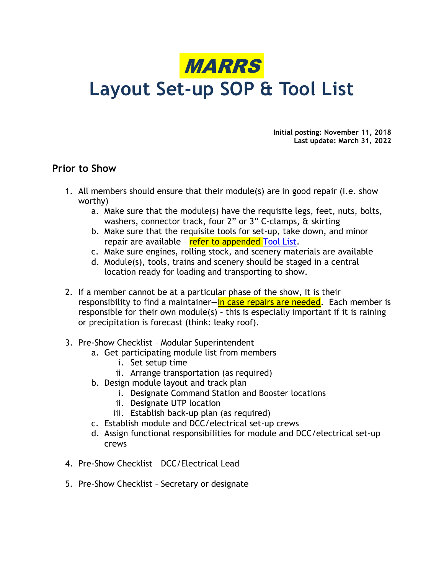

# Layout Set-up SOP & Tool List

Initial posting: November 11, 2018 Last update: March 31, 2022

## Prior to Show

- 1. All members should ensure that their module(s) are in good repair (i.e. show worthy)
	- a. Make sure that the module(s) have the requisite legs, feet, nuts, bolts, washers, connector track, four 2" or 3" C-clamps, & skirting
	- b. Make sure that the requisite tools for set-up, take down, and minor repair are available - refer to appended Tool List.
	- c. Make sure engines, rolling stock, and scenery materials are available
	- d. Module(s), tools, trains and scenery should be staged in a central location ready for loading and transporting to show.
- 2. If a member cannot be at a particular phase of the show, it is their responsibility to find a maintainer—in case repairs are needed. Each member is responsible for their own module(s) – this is especially important if it is raining or precipitation is forecast (think: leaky roof).
- 3. Pre-Show Checklist Modular Superintendent
	- a. Get participating module list from members
		- i. Set setup time
		- ii. Arrange transportation (as required)
	- b. Design module layout and track plan
		- i. Designate Command Station and Booster locations
		- ii. Designate UTP location
		- iii. Establish back-up plan (as required)
	- c. Establish module and DCC/electrical set-up crews
	- d. Assign functional responsibilities for module and DCC/electrical set-up crews
- 4. Pre-Show Checklist DCC/Electrical Lead
- 5. Pre-Show Checklist Secretary or designate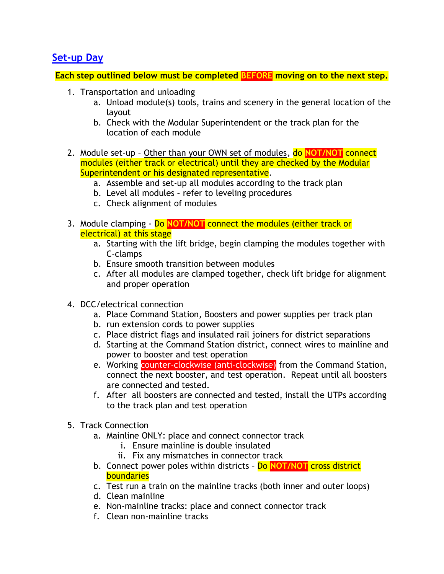# Set-up Day

Each step outlined below must be completed BEFORE moving on to the next step.

- 1. Transportation and unloading
	- a. Unload module(s) tools, trains and scenery in the general location of the layout
	- b. Check with the Modular Superintendent or the track plan for the location of each module
- 2. Module set-up Other than your OWN set of modules, do NOT/NOT connect modules (either track or electrical) until they are checked by the Modular Superintendent or his designated representative.
	- a. Assemble and set-up all modules according to the track plan
	- b. Level all modules refer to leveling procedures
	- c. Check alignment of modules
- 3. Module clamping Do NOT/NOT connect the modules (either track or electrical) at this stage
	- a. Starting with the lift bridge, begin clamping the modules together with C-clamps
	- b. Ensure smooth transition between modules
	- c. After all modules are clamped together, check lift bridge for alignment and proper operation
- 4. DCC/electrical connection
	- a. Place Command Station, Boosters and power supplies per track plan
	- b. run extension cords to power supplies
	- c. Place district flags and insulated rail joiners for district separations
	- d. Starting at the Command Station district, connect wires to mainline and power to booster and test operation
	- e. Working counter-clockwise (anti-clockwise) from the Command Station, connect the next booster, and test operation. Repeat until all boosters are connected and tested.
	- f. After all boosters are connected and tested, install the UTPs according to the track plan and test operation
- 5. Track Connection
	- a. Mainline ONLY: place and connect connector track
		- i. Ensure mainline is double insulated
		- ii. Fix any mismatches in connector track
	- b. Connect power poles within districts Do NOT/NOT cross district boundaries
	- c. Test run a train on the mainline tracks (both inner and outer loops)
	- d. Clean mainline
	- e. Non-mainline tracks: place and connect connector track
	- f. Clean non-mainline tracks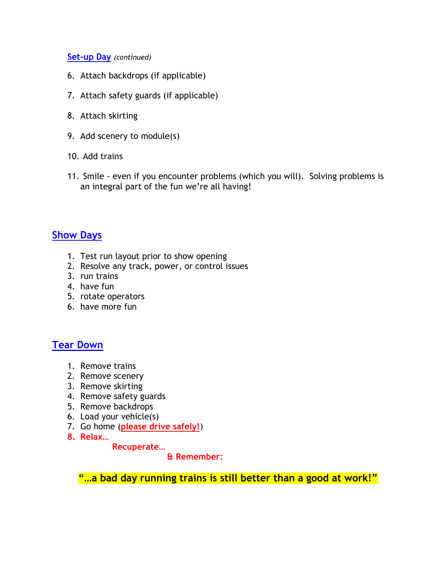### Set-up Day (continued)

- 6. Attach backdrops (if applicable)
- 7. Attach safety guards (if applicable)
- 8. Attach skirting
- 9. Add scenery to module(s)
- 10. Add trains
- 11. Smile even if you encounter problems (which you will). Solving problems is an integral part of the fun we're all having!

# Show Days

- 1. Test run layout prior to show opening
- 2. Resolve any track, power, or control issues
- 3. run trains
- 4. have fun
- 5. rotate operators
- 6. have more fun

# Tear Down

- 1. Remove trains
- 2. Remove scenery
- 3. Remove skirting
- 4. Remove safety guards
- 5. Remove backdrops
- 6. Load your vehicle(s)
- 7. Go home (please drive safely!)
- 8. Relax…

#### Recuperate…

& Remember:

"...a bad day running trains is still better than a good at work!"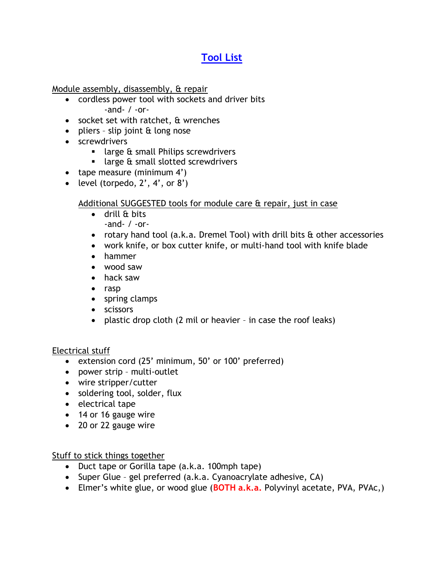# Tool List

Module assembly, disassembly, & repair

- cordless power tool with sockets and driver bits -and- / -or-
- socket set with ratchet, & wrenches
- $\bullet$  pliers slip joint & long nose
- screwdrivers
	- **I** large & small Philips screwdrivers
	- **I** large & small slotted screwdrivers
- $\bullet$  tape measure (minimum 4')
- level (torpedo,  $2'$ ,  $4'$ , or  $8'$ )

## Additional SUGGESTED tools for module care & repair, just in case

- drill & bits -and- / -or-
- rotary hand tool (a.k.a. Dremel Tool) with drill bits & other accessories
- work knife, or box cutter knife, or multi-hand tool with knife blade
- hammer
- wood saw
- hack saw
- rasp
- spring clamps
- scissors
- plastic drop cloth (2 mil or heavier in case the roof leaks)

## Electrical stuff

- extension cord (25' minimum, 50' or 100' preferred)
- power strip multi-outlet
- wire stripper/cutter
- soldering tool, solder, flux
- electrical tape
- 14 or 16 gauge wire
- 20 or 22 gauge wire

## Stuff to stick things together

- Duct tape or Gorilla tape (a.k.a. 100mph tape)
- Super Glue gel preferred (a.k.a. Cyanoacrylate adhesive, CA)
- Elmer's white glue, or wood glue (BOTH  $a.k.a.$  Polyvinyl acetate, PVA, PVAc,)